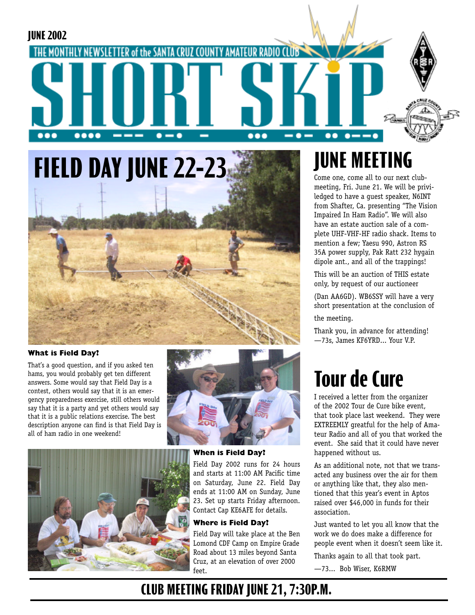

# **FIELD DAY JUNE 22-23**



#### **What is Field Day?**

That's a good question, and if you asked ten hams, you would probably get ten different answers. Some would say that Field Day is a contest, others would say that it is an emergency preparedness exercise, still others would say that it is a party and yet others would say that it is a public relations exercise. The best description anyone can find is that Field Day is all of ham radio in one weekend!





#### **When is Field Day?**

Field Day 2002 runs for 24 hours and starts at 11:00 AM Pacific time on Saturday, June 22. Field Day ends at 11:00 AM on Sunday, June 23. Set up starts Friday afternoon. Contact Cap KE6AFE for details.

#### **Where is Field Day?**

Field Day will take place at the Ben Lomond CDF Camp on Empire Grade Road about 13 miles beyond Santa Cruz, at an elevation of over 2000 feet.

## **JUNE MEETING**

Come one, come all to our next clubmeeting, Fri. June 21. We will be priviledged to have a guest speaker, N6INT from Shafter, Ca. presenting "The Vision Impaired In Ham Radio". We will also have an estate auction sale of a complete UHF-VHF-HF radio shack. Items to mention a few; Yaesu 990, Astron RS 35A power supply, Pak Ratt 232 hygain dipole ant., and all of the trappings!

This will be an auction of THIS estate only, by request of our auctioneer

(Dan AA6GD). WB6SSY will have a very short presentation at the conclusion of the meeting.

Thank you, in advance for attending! —73s, James KF6YRD... Your V.P.

## **Tour de Cure**

I received a letter from the organizer of the 2002 Tour de Cure bike event, that took place last weekend. They were EXTREEMLY greatful for the help of Amateur Radio and all of you that worked the event. She said that it could have never happened without us.

As an additional note, not that we transacted any business over the air for them or anything like that, they also mentioned that this year's event in Aptos raised over \$46,000 in funds for their association.

Just wanted to let you all know that the work we do does make a difference for people event when it doesn't seem like it.

Thanks again to all that took part.

—73... Bob Wiser, K6RMW

### **CLUB MEETING FRIDAY JUNE 21, 7:30P.M.**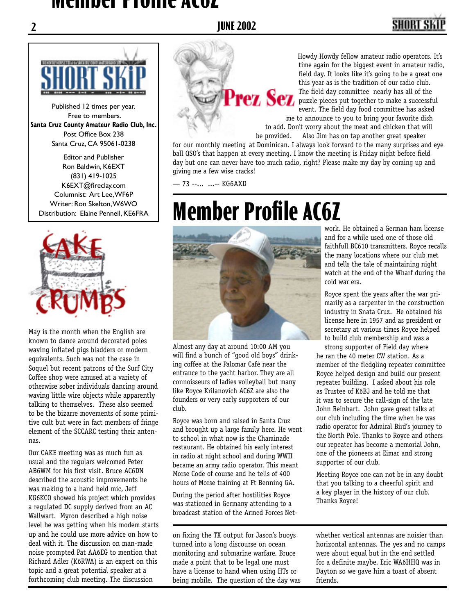#### **Member Profile AC6Z**

### **2 JUNE 2002**

## SHART S



Published 12 times per year. Free to members. **Santa Cruz County Amateur Radio Club, Inc.** Post Office Box 238 Santa Cruz, CA 95061-0238

Editor and Publisher Ron Baldwin, K6EXT (831) 419-1025 K6EXT@fireclay.com Columnist: Art Lee, WF6P Writer: Ron Skelton, W6WO Distribution: Elaine Pennell, KE6FRA



May is the month when the English are known to dance around decorated poles waving inflated pigs bladders or modern equivalents. Such was not the case in Soquel but recent patrons of the Surf City Coffee shop were amused at a variety of otherwise sober individuals dancing around waving little wire objects while apparently talking to themselves. These also seemed to be the bizarre movements of some primitive cult but were in fact members of fringe element of the SCCARC testing their antennas.

Our CAKE meeting was as much fun as usual and the regulars welcomed Peter AB6WM for his first visit. Bruce AC6DN described the acoustic improvements he was making to a hand held mic, Jeff KG6KCO showed his project which provides a regulated DC supply derived from an AC Wallwart. Myron described a high noise level he was getting when his modem starts up and he could use more advice on how to deal with it. The discussion on man-made noise prompted Pat AA6EG to mention that Richard Adler (K6RWA) is an expert on this topic and a great potential speaker at a forthcoming club meeting. The discussion



Howdy Howdy fellow amateur radio operators. It's time again for the biggest event in amateur radio, field day. It looks like it's going to be a great one this year as is the tradition of our radio club.<br>The field day committee nearly has all of the The field day committee nearly has all of the puzzle pieces put together to make a successful event. The field day food committee has asked me to announce to you to bring your favorite dish

to add. Don't worry about the meat and chicken that will Also Jim has on tap another great speaker for our monthly meeting at Dominican. I always look forward to the many surprises and eye

ball QSO's that happen at every meeting. I know the meeting is Friday night before field day but one can never have too much radio, right? Please make my day by coming up and giving me a few wise cracks!

— 73 --... ...-- KG6AXD

# **Member Profile AC6Z**



Almost any day at around 10:00 AM you will find a bunch of "good old boys" drinking coffee at the Palomar Café near the entrance to the yacht harbor. They are all connoisseurs of ladies volleyball but many like Royce Krilanovich AC6Z are also the founders or very early supporters of our club.

Royce was born and raised in Santa Cruz and brought up a large family here. He went to school in what now is the Chaminade restaurant. He obtained his early interest in radio at night school and during WWII became an army radio operator. This meant Morse Code of course and he tells of 400 hours of Morse training at Ft Benning GA.

During the period after hostilities Royce was stationed in Germany attending to a broadcast station of the Armed Forces Net-

on fixing the TX output for Jason's buoys turned into a long discourse on ocean monitoring and submarine warfare. Bruce made a point that to be legal one must have a license to hand when using HTs or being mobile. The question of the day was

work. He obtained a German ham license and for a while used one of those old faithfull BC610 transmitters. Royce recalls the many locations where our club met and tells the tale of maintaining night watch at the end of the Wharf during the cold war era.

Royce spent the years after the war primarily as a carpenter in the construction industry in Snata Cruz. He obtained his license here in 1957 and as president or secretary at various times Royce helped to build club membership and was a

strong supporter of Field day where he ran the 40 meter CW station. As a member of the fledgling repeater committee Royce helped design and build our present repeater building. I asked about his role as Trustee of K6BJ and he told me that it was to secure the call-sign of the late John Reinhart. John gave great talks at our club including the time when he was radio operator for Admiral Bird's journey to the North Pole. Thanks to Royce and others our repeater has become a memorial John, one of the pioneers at Eimac and strong supporter of our club.

Meeting Royce one can not be in any doubt that you talking to a cheerful spirit and a key player in the history of our club. Thanks Royce!

whether vertical antennas are noisier than horizontal antennas. The yes and no camps were about equal but in the end settled for a definite maybe. Eric WA6HHQ was in Dayton so we gave him a toast of absent friends.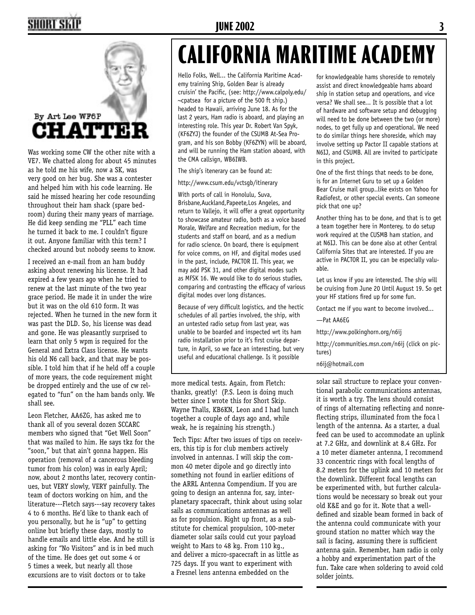## HORT SKI



Was working some CW the other nite with a VE7. We chatted along for about 45 minutes as he told me his wife, now a SK, was very good on her bug. She was a contester and helped him with his code learning. He said he missed hearing her code resounding throughout their ham shack (spare bedroom) during their many years of marriage. He did keep sending me "PLL" each time he turned it back to me. I couldn't figure it out. Anyone familiar with this term? I checked around but nobody seems to know.

I received an e-mail from an ham buddy asking about renewing his license. It had expired a few years ago when he tried to renew at the last minute of the two year grace period. He made it in under the wire but it was on the old 610 form. It was rejected. When he turned in the new form it was past the DLD. So, his license was dead and gone. He was pleasantly surprised to learn that only 5 wpm is required for the General and Extra Class license. He wants his old N6 call back, and that may be possible. I told him that if he held off a couple of more years, the code requirement might be dropped entirely and the use of cw relegated to "fun" on the ham bands only. We shall see.

Leon Fletcher, AA6ZG, has asked me to thank all of you several dozen SCCARC members who signed that "Get Well Soon" that was mailed to him. He says tkz for the "soon," but that ain't gonna happen. His operation (removal of a cancerous bleeding tumor from his colon) was in early April; now, about 2 months later, recovery continues, but VERY slowly, VERY painfully. The team of doctors working on him, and the literature---Fletch says---say recovery takes 4 to 6 months. He'd like to thank each of you personally, but he is "up" to getting online but briefly these days, mostly to handle emails and little else. And he still is asking for "No Visitors" and is in bed much of the time. He does get out some 4 or 5 times a week, but nearly all those excursions are to visit doctors or to take

#### **JUNE 2002 3**

# **CALIFORNIA MARITIME ACADEMY**

Hello Folks, Well... the California Maritime Academy training Ship, Golden Bear is already cruisin' the Pacific, (see: http://www.calpoly.edu/  $\sim$ cpatsea for a picture of the 500 ft ship.) headed to Hawaii, arriving June 18. As for the last 2 years, Ham radio is aboard, and playing an interesting role. This year Dr. Robert Van Spyk, (KF6ZYJ) the founder of the CSUMB At-Sea Program, and his son Bobby (KF6ZYN) will be aboard, and will be running the Ham station aboard, with the CMA callsign, WB6IWB.

The ship's itenerary can be found at:

http://www.csum.edu/vctsgb/itinerary

With ports of call in Honolulu, Suva, Brisbane,Auckland,Papeete,Los Angeles, and return to Vallejo, it will offer a great opportunity to showcase amateur radio, both as a voice based Morale, Welfare and Recreation medium, for the students and staff on board, and as a medium for radio science. On board, there is equipment for voice comms, on HF, and digital modes used in the past, include, PACTOR II. This year, we may add PSK 31, and other digital modes such as MFSK 16. We would like to do serious studies, comparing and contrasting the efficacy of various digital modes over long distances.

Because of very difficult logistics, and the hectic schedules of all parties involved, the ship, with an untested radio setup from last year, was unable to be boarded and inspected wrt its ham radio installation prior to it's first cruise departure, in April, so we face an interesting, but very useful and educational challenge. Is it possible

more medical tests. Again, from Fletch: thanks, greatly! (P.S. Leon is doing much better since I wrote this for Short Skip. Wayne Thalls, KB6KN, Leon and I had lunch together a couple of days ago and, while weak, he is regaining his strength.)

 Tech Tips: After two issues of tips on receivers, this tip is for club members actively involved in antennas. I will skip the common 40 meter dipole and go directly into something not found in earlier editions of the ARRL Antenna Compendium. If you are going to design an antenna for, say, interplanetary spacecraft, think about using solar sails as communications antennas as well as for propulsion. Right up front, as a substitute for chemical propulsion, 100-meter diameter solar sails could cut your payload weight to Mars to 48 kg. From 110 kg., and deliver a micro-spacecraft in as little as 725 days. If you want to experiment with a Fresnel lens antenna embedded on the

for knowledgeable hams shoreside to remotely assist and direct knowledgeable hams aboard ship in station setup and operations, and vice versa? We shall see... It is possible that a lot of hardware and software setup and debugging will need to be done between the two (or more) nodes, to get fully up and operational. We need to do similar things here shoreside, which may involve setting up Pactor II capable stations at N6IJ, and CSUMB. All are invited to participate in this project.

One of the first things that needs to be done, is for an Internet Guru to set up a Golden Bear Cruise mail group..like exists on Yahoo for Radiofest, or other special events. Can someone pick that one up?

Another thing has to be done, and that is to get a team together here in Monterey, to do setup work required at the CUSMB ham station, and at N6IJ. This can be done also at other Central California Sites that are interested. If you are active in PACTOR II, you can be especially valuable.

Let us know if you are interested. The ship will be cruising from June 20 Until August 19. So get your HF stations fired up for some fun.

Contact me if you want to become involved...

—Pat AA6EG

http://www.polkinghorn.org/n6ij

http://communities.msn.com/n6ij (click on pictures)

n6ij@hotmail.com

solar sail structure to replace your conventional parabolic communications antennas, it is worth a try. The lens should consist of rings of alternating reflecting and nonreflecting strips, illuminated from the foca l length of the antenna. As a starter, a dual feed can be used to accommodate an uplink at 7.2 GHz, and downlink at 8.4 GHz. For a 10 meter diameter antenna, I recommend 33 concentric rings with focal lengths of 8.2 meters for the uplink and 10 meters for the downlink. Different focal lengths can be experimented with, but further calculations would be necessary so break out your old K&E and go for it. Note that a welldefined and sizable beam formed in back of the antenna could communicate with your ground station no matter which way the sail is facing, assuming there is sufficient antenna gain. Remember, ham radio is only a hobby and experimentation part of the fun. Take care when soldering to avoid cold solder joints.